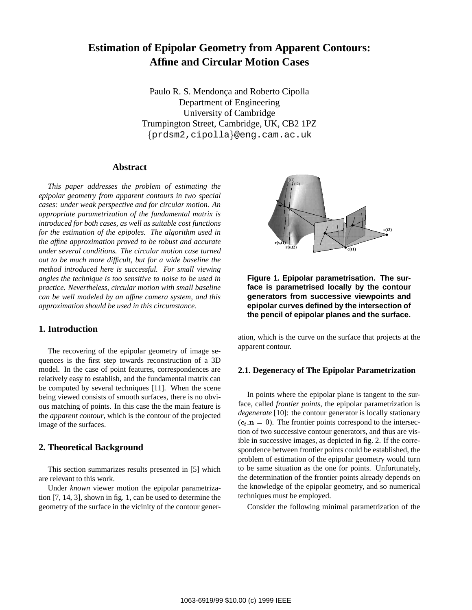# **Estimation of Epipolar Geometry from Apparent Contours: Affine and Circular Motion Cases**

Paulo R. S. Mendonça and Roberto Cipolla Department of Engineering University of Cambridge Trumpington Street, Cambridge, UK, CB2 1PZ {prdsm2, cipolla}@eng.cam.ac.uk

### **Abstract**

*This paper addresses the problem of estimating the epipolar geometry from apparent contours in two special cases: under weak perspective and for circular motion. An appropriate parametrization of the fundamental matrix is introduced for both cases, as well as suitable cost functions for the estimation of the epipoles. The algorithm used in the affine approximation proved to be robust and accurate under several conditions. The circular motion case turned out to be much more difficult, but for a wide baseline the method introduced here is successful. For small viewing angles the technique is too sensitive to noise to be used in practice. Nevertheless, circular motion with small baseline can be well modeled by an affine camera system, and this approximation should be used in this circumstance.*

#### **1. Introduction**

The recovering of the epipolar geometry of image sequences is the first step towards reconstruction of a 3D model. In the case of point features, correspondences are relatively easy to establish, and the fundamental matrix can be computed by several techniques [11]. When the scene being viewed consists of smooth surfaces, there is no obvious matching of points. In this case the the main feature is the *apparent contour*, which is the contour of the projected image of the surfaces.

#### **2. Theoretical Background**

This section summarizes results presented in [5] which are relevant to this work.

Under *known* viewer motion the epipolar parametrization [7, 14, 3], shown in fig. 1, can be used to determine the geometry of the surface in the vicinity of the contour gener-



**Figure 1. Epipolar parametrisation. The surface is parametrised locally by the contour generators from successive viewpoints and epipolar curves defined by the intersection of the pencil of epipolar planes and the surface.**

ation, which is the curve on the surface that projects at the apparent contour.

## **2.1. Degeneracy of The Epipolar Parametrization**

In points where the epipolar plane is tangent to the surface, called *frontier points*, the epipolar parametrization is *degenerate* [10]: the contour generator is locally stationary  $(c_t.n = 0)$ . The frontier points correspond to the intersection of two successive contour generators, and thus are visible in successive images, as depicted in fig. 2. If the correspondence between frontier points could be established, the problem of estimation of the epipolar geometry would turn to be same situation as the one for points. Unfortunately, the determination of the frontier points already depends on the knowledge of the epipolar geometry, and so numerical techniques must be employed.

Consider the following minimal parametrization of the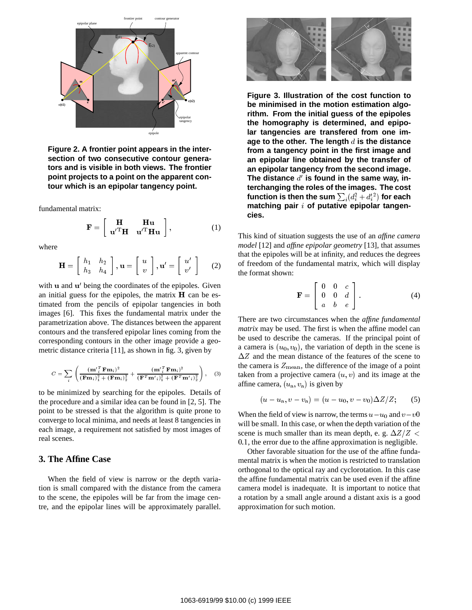

**Figure 2. A frontier point appears in the intersection of two consecutive contour generators and is visible in both views. The frontier point projects to a point on the apparent contour which is an epipolar tangency point.**

fundamental matrix:

$$
\mathbf{F} = \left[ \begin{array}{cc} \mathbf{H} & \mathbf{H} \mathbf{u} \\ \mathbf{u}'^{\mathrm{T}} \mathbf{H} & \mathbf{u}'^{\mathrm{T}} \mathbf{H} \mathbf{u} \end{array} \right],\tag{1}
$$

where

$$
\mathbf{H} = \begin{bmatrix} h_1 & h_2 \\ h_3 & h_4 \end{bmatrix}, \mathbf{u} = \begin{bmatrix} u \\ v \end{bmatrix}, \mathbf{u}' = \begin{bmatrix} u' \\ v' \end{bmatrix}
$$
 (2)  
with **u** and **u'** being the coordinates of the epipoles. Given

an initial guess for the epipoles, the matrix  $H$  can be estimated from the pencils of epipolar tangencies in both images [6]. This fixes the fundamental matrix under the parametrization above. The distances between the apparent contours and the transfered epipolar lines coming from the corresponding contours in the other image provide a geometric distance criteria [11], as shown in fig. 3, given by

$$
C = \sum_{i} \left( \frac{(\mathbf{m'}_{i}^{T} \mathbf{F} \mathbf{m}_{i})^{2}}{(\mathbf{F} \mathbf{m}_{i})_{1}^{2} + (\mathbf{F} \mathbf{m}_{i})_{2}^{2}} + \frac{(\mathbf{m'}_{i}^{T} \mathbf{F} \mathbf{m}_{i})^{2}}{(\mathbf{F}^{T} \mathbf{m'}_{i})_{1}^{2} + (\mathbf{F}^{T} \mathbf{m'}_{i})_{2}^{2}} \right), \quad (3)
$$

to be minimized by searching for the epipoles. Details of the procedure and a similar idea can be found in [2, 5]. The point to be stressed is that the algorithm is quite prone to converge to local minima, and needs at least 8 tangencies in each image, a requirement not satisfied by most images of real scenes.

## **3. The Affine Case**

When the field of view is narrow or the depth variation is small compared with the distance from the camera to the scene, the epipoles will be far from the image centre, and the epipolar lines will be approximately parallel.



**Figure 3. Illustration of the cost function to be minimised in the motion estimation algorithm. From the initial guess of the epipoles the homography is determined, and epipolar tangencies are transfered from one im**age to the other. The length d is the distance **from a tangency point in the first image and an epipolar line obtained by the transfer of an epipolar tangency from the second image.** The distance  $d'$  is found in the same way, in**terchanging the roles of the images. The cost** function is then the sum  $\sum_i (d_i^2 + d_i^{\prime\,2})$  for each **matching pair** <sup>i</sup> **of putative epipolar tangencies.**

This kind of situation suggests the use of an *affine camera model* [12] and *affine epipolar geometry* [13], that assumes that the epipoles will be at infinity, and reduces the degrees of freedom of the fundamental matrix, which will display the format shown:

$$
\mathbf{F} = \left[ \begin{array}{ccc} 0 & 0 & c \\ 0 & 0 & d \\ a & b & e \end{array} \right]. \tag{4}
$$

There are two circumstances when the *affine fundamental matrix* may be used. The first is when the affine model can be used to describe the cameras. If the principal point of a camera is  $(u_0, v_0)$ , the variation of depth in the scene is  $\Delta Z$  and the mean distance of the features of the scene to the camera is  $Z_{\text{mean}}$ , the difference of the image of a point taken from a projective camera  $(u, v)$  and its image at the affine camera,  $(u_a, v_a)$  is given by

$$
(u - u_{\rm a}, v - v_{\rm a}) = (u - u_0, v - v_0) \Delta Z/Z; \qquad (5)
$$

When the field of view is narrow, the terms  $u-u_0$  and  $v-v0$ will be small. In this case, or when the depth variation of the scene is much smaller than its mean depth, e. g.  $\Delta Z/Z <$ 0:1, the error due to the affine approximation is negligible.

Other favorable situation for the use of the affine fundamental matrix is when the motion is restricted to translation orthogonal to the optical ray and cyclorotation. In this case the affine fundamental matrix can be used even if the affine camera model is inadequate. It is important to notice that a rotation by a small angle around a distant axis is a good approximation for such motion.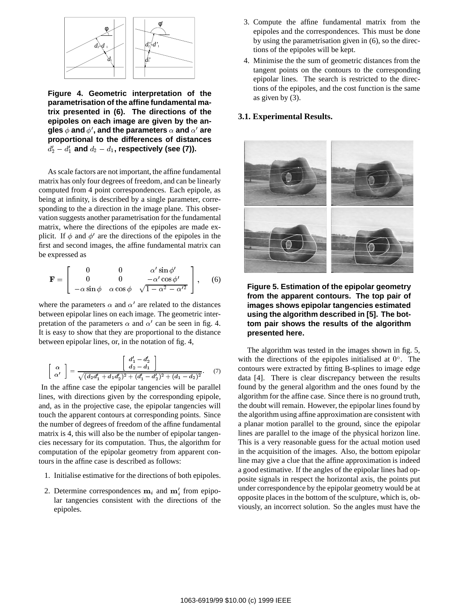

**Figure 4. Geometric interpretation of the parametrisation of the affine fundamental matrix presented in (6). The directions of the epipoles on each image are given by the an**gles  $\phi$  and  $\phi'$ , and the parameters  $\alpha$  and  $\alpha'$  are **proportional to the differences of distances**  $d_2' - d_1'$  and  $d_2 - d_1$ , respectively (see (7)).

As scale factors are not important, the affine fundamental matrix has only four degrees of freedom, and can be linearly computed from 4 point correspondences. Each epipole, as being at infinity, is described by a single parameter, corresponding to the a direction in the image plane. This observation suggests another parametrisation for the fundamental matrix, where the directions of the epipoles are made explicit. If  $\phi$  and  $\phi'$  are the directions of the epipoles in the first and second images, the affine fundamental matrix can be expressed as

$$
\mathbf{F} = \begin{bmatrix} 0 & 0 & \alpha' \sin \phi' \\ 0 & 0 & -\alpha' \cos \phi' \\ -\alpha \sin \phi & \alpha \cos \phi & \sqrt{1 - \alpha^2 - \alpha'^2} \end{bmatrix}, \quad (6)
$$

where the parameters  $\alpha$  and  $\alpha'$  are related to the distances between epipolar lines on each image. The geometric interpretation of the parameters  $\alpha$  and  $\alpha'$  can be seen in fig. 4. It is easy to show that they are proportional to the distance between epipolar lines, or, in the notation of fig. 4,

$$
\left[\begin{array}{c} \alpha \\ \alpha' \end{array}\right] = \frac{\left[\begin{array}{c} d'_1 - d'_2 \\ d_2 - d_1 \end{array}\right]}{\sqrt{(d_2 d'_1 + d_1 d'_2)^2 + (d'_1 - d'_2)^2 + (d_1 - d_2)^2}}.\tag{7}
$$

In the affine case the epipolar tangencies will be parallel lines, with directions given by the corresponding epipole, and, as in the projective case, the epipolar tangencies will touch the apparent contours at corresponding points. Since the number of degrees of freedom of the affine fundamental matrix is 4, this will also be the number of epipolar tangencies necessary for its computation. Thus, the algorithm for computation of the epipolar geometry from apparent contours in the affine case is described as follows:

- 1. Initialise estimative for the directions of both epipoles.
- 2. Determine correspondences  $\mathbf{m}_i$  and  $\mathbf{m}'_i$  from epipolar tangencies consistent with the directions of the epipoles.
- 3. Compute the affine fundamental matrix from the epipoles and the correspondences. This must be done by using the parametrisation given in (6), so the directions of the epipoles will be kept.
- 4. Minimise the the sum of geometric distances from the tangent points on the contours to the corresponding epipolar lines. The search is restricted to the directions of the epipoles, and the cost function is the same as given by (3).

#### **3.1. Experimental Results.**



**Figure 5. Estimation of the epipolar geometry from the apparent contours. The top pair of images shows epipolar tangencies estimated using the algorithm described in [5]. The bottom pair shows the results of the algorithm presented here.**

The algorithm was tested in the images shown in fig. 5, with the directions of the epipoles initialised at  $0^\circ$ . The contours were extracted by fitting B-splines to image edge data [4]. There is clear discrepancy between the results found by the general algorithm and the ones found by the algorithm for the affine case. Since there is no ground truth, the doubt will remain. However, the epipolar lines found by the algorithm using affine approximation are consistent with a planar motion parallel to the ground, since the epipolar lines are parallel to the image of the physical horizon line. This is a very reasonable guess for the actual motion used in the acquisition of the images. Also, the bottom epipolar line may give a clue that the affine approximation is indeed a good estimative. If the angles of the epipolar lines had opposite signals in respect the horizontal axis, the points put under correspondence by the epipolar geometry would be at opposite places in the bottom of the sculpture, which is, obviously, an incorrect solution. So the angles must have the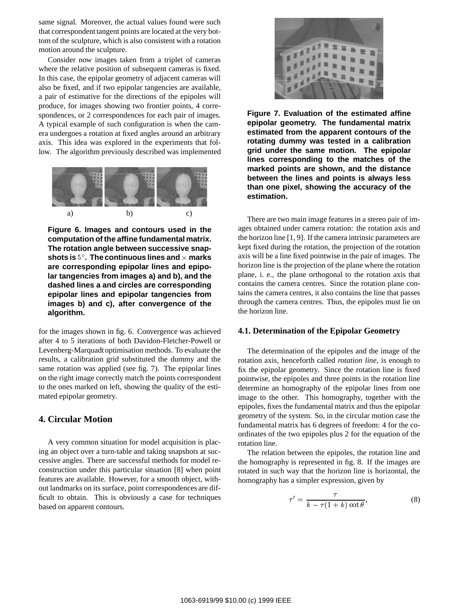same signal. Moreover, the actual values found were such that correspondent tangent points are located at the very bottom of the sculpture, which is also consistent with a rotation motion around the sculpture.

Consider now images taken from a triplet of cameras where the relative position of subsequent cameras is fixed. In this case, the epipolar geometry of adjacent cameras will also be fixed, and if two epipolar tangencies are available, a pair of estimative for the directions of the epipoles will produce, for images showing two frontier points, 4 correspondences, or 2 correspondences for each pair of images. A typical example of such configuration is when the camera undergoes a rotation at fixed angles around an arbitrary axis. This idea was explored in the experiments that follow. The algorithm previously described was implemented



**Figure 6. Images and contours used in the computation of the affine fundamental matrix. The rotation angle between successive snap**shots is  $5^\circ$  . The continuous lines and  $\times$  marks **are corresponding epipolar lines and epipolar tangencies from images a) and b), and the dashed lines a and circles are corresponding epipolar lines and epipolar tangencies from images b) and c), after convergence of the algorithm.**

for the images shown in fig. 6. Convergence was achieved after 4 to 5 iterations of both Davidon-Fletcher-Powell or Levenberg-Marquadt optimisation methods. To evaluate the results, a calibration grid substituted the dummy and the same rotation was applied (see fig. 7). The epipolar lines on the right image correctly match the points correspondent to the ones marked on left, showing the quality of the estimated epipolar geometry.

## **4. Circular Motion**

A very common situation for model acquisition is placing an object over a turn-table and taking snapshots at successive angles. There are successful methods for model reconstruction under this particular situation [8] when point features are available. However, for a smooth object, without landmarks on its surface, point correspondences are difficult to obtain. This is obviously a case for techniques based on apparent contours.



**Figure 7. Evaluation of the estimated affine epipolar geometry. The fundamental matrix estimated from the apparent contours of the rotating dummy was tested in a calibration grid under the same motion. The epipolar lines corresponding to the matches of the marked points are shown, and the distance between the lines and points is always less than one pixel, showing the accuracy of the estimation.**

There are two main image features in a stereo pair of images obtained under camera rotation: the rotation axis and the horizon line [1, 9]. If the camera intrinsic parameters are kept fixed during the rotation, the projection of the rotation axis will be a line fixed pointwise in the pair of images. The horizon line is the projection of the plane where the rotation plane, i. e., the plane orthogonal to the rotation axis that contains the camera centres. Since the rotation plane contains the camera centres, it also contains the line that passes through the camera centres. Thus, the epipoles must lie on the horizon line.

#### **4.1. Determination of the Epipolar Geometry**

The determination of the epipoles and the image of the rotation axis, henceforth called *rotation line*, is enough to fix the epipolar geometry. Since the rotation line is fixed pointwise, the epipoles and three points in the rotation line determine an homography of the epipolar lines from one image to the other. This homography, together with the epipoles, fixes the fundamental matrix and thus the epipolar geometry of the system. So, in the circular motion case the fundamental matrix has 6 degrees of freedom: 4 for the coordinates of the two epipoles plus 2 for the equation of the rotation line.

The relation between the epipoles, the rotation line and the homography is represented in fig. 8. If the images are rotated in such way that the horizon line is horizontal, the homography has a simpler expression, given by

$$
\tau' = \frac{\tau}{k - \tau(1 + k)\cot\theta},\tag{8}
$$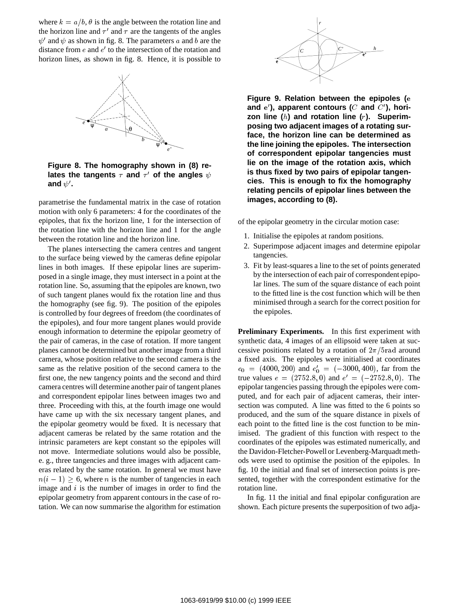where  $k = a/b$ ,  $\theta$  is the angle between the rotation line and the horizon line and  $\tau'$  and  $\tau$  are the tangents of the angles  $\psi'$  and  $\psi$  as shown in fig. 8. The parameters a and b are the distance from  $e$  and  $e'$  to the intersection of the rotation and horizon lines, as shown in fig. 8. Hence, it is possible to



**Figure 8. The homography shown in (8) re**lates the tangents  $\tau$  and  $\tau'$  of the angles  $\psi$ and  $\psi^\prime$ .

parametrise the fundamental matrix in the case of rotation motion with only 6 parameters: 4 for the coordinates of the epipoles, that fix the horizon line, 1 for the intersection of the rotation line with the horizon line and 1 for the angle between the rotation line and the horizon line.

The planes intersecting the camera centres and tangent to the surface being viewed by the cameras define epipolar lines in both images. If these epipolar lines are superimposed in a single image, they must intersect in a point at the rotation line. So, assuming that the epipoles are known, two of such tangent planes would fix the rotation line and thus the homography (see fig. 9). The position of the epipoles is controlled by four degrees of freedom (the coordinates of the epipoles), and four more tangent planes would provide enough information to determine the epipolar geometry of the pair of cameras, in the case of rotation. If more tangent planes cannot be determined but another image from a third camera, whose position relative to the second camera is the same as the relative position of the second camera to the first one, the new tangency points and the second and third camera centres will determine another pair of tangent planes and correspondent epipolar lines between images two and three. Proceeding with this, at the fourth image one would have came up with the six necessary tangent planes, and the epipolar geometry would be fixed. It is necessary that adjacent cameras be related by the same rotation and the intrinsic parameters are kept constant so the epipoles will not move. Intermediate solutions would also be possible, e. g., three tangencies and three images with adjacent cameras related by the same rotation. In general we must have  $n(i - 1) \geq 6$ , where *n* is the number of tangencies in each image and  $i$  is the number of images in order to find the epipolar geometry from apparent contours in the case of rotation. We can now summarise the algorithm for estimation



**Figure 9. Relation between the epipoles (**<sup>e</sup> and  $e'$ ), apparent contours ( $C$  and  $C'$ ), hori**zon line (**h**) and rotation line (**r**). Superimposing two adjacent images of a rotating surface, the horizon line can be determined as the line joining the epipoles. The intersection of correspondent epipolar tangencies must lie on the image of the rotation axis, which is thus fixed by two pairs of epipolar tangencies. This is enough to fix the homography relating pencils of epipolar lines between the images, according to (8).**

of the epipolar geometry in the circular motion case:

- 1. Initialise the epipoles at random positions.
- 2. Superimpose adjacent images and determine epipolar tangencies.
- 3. Fit by least-squares a line to the set of points generated by the intersection of each pair of correspondent epipolar lines. The sum of the square distance of each point to the fitted line is the cost function which will be then minimised through a search for the correct position for the epipoles.

**Preliminary Experiments.** In this first experiment with synthetic data, 4 images of an ellipsoid were taken at successive positions related by a rotation of  $2\pi/5$ rad around a fixed axis. The epipoles were initialised at coordinates  $e_0 = (4000, 200)$  and  $e'_0 = (-3000, 400)$ , far from the true values  $e = (2752.8, 0)$  and  $e' = (-2752.8, 0)$ . The epipolar tangencies passing through the epipoles were computed, and for each pair of adjacent cameras, their intersection was computed. A line was fitted to the 6 points so produced, and the sum of the square distance in pixels of each point to the fitted line is the cost function to be minimised. The gradient of this function with respect to the coordinates of the epipoles was estimated numerically, and the Davidon-Fletcher-Powell or Levenberg-Marquadtmethods were used to optimise the position of the epipoles. In fig. 10 the initial and final set of intersection points is presented, together with the correspondent estimative for the rotation line.

In fig. 11 the initial and final epipolar configuration are shown. Each picture presents the superposition of two adja